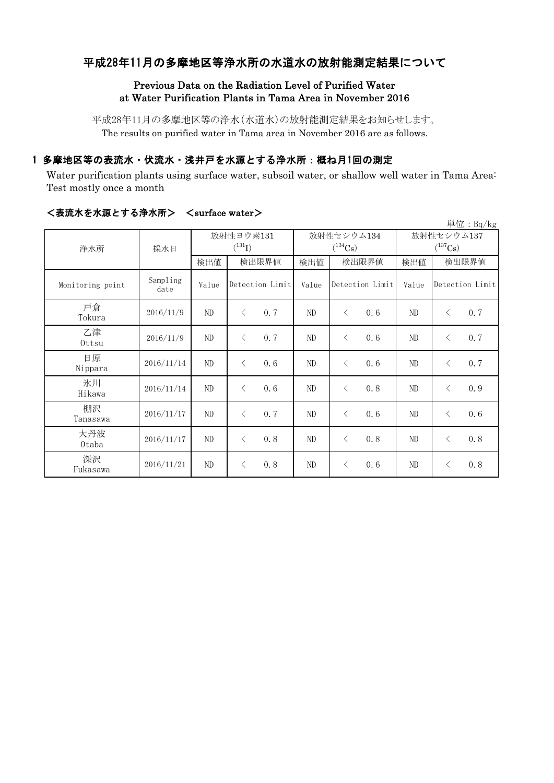# 平成28年11月の多摩地区等浄水所の水道水の放射能測定結果について

## Previous Data on the Radiation Level of Purified Water at Water Purification Plants in Tama Area in November 2016

平成28年11月の多摩地区等の浄水(水道水)の放射能測定結果をお知らせします。 The results on purified water in Tama area in November 2016 are as follows.

## 1 多摩地区等の表流水・伏流水・浅井戸を水源とする浄水所:概ね月1回の測定

Water purification plants using surface water, subsoil water, or shallow well water in Tama Area: Test mostly once a month

|                  |                  |                          |                 |      |                            |                 |     |                            |                 | 単位: $Bq/kg$ |
|------------------|------------------|--------------------------|-----------------|------|----------------------------|-----------------|-----|----------------------------|-----------------|-------------|
| 浄水所              | 採水日              | 放射性ヨウ素131<br>$(^{131}I)$ |                 |      | 放射性セシウム134<br>$(^{134}Cs)$ |                 |     | 放射性セシウム137<br>$(^{137}Cs)$ |                 |             |
|                  |                  | 検出値                      | 検出限界値           |      | 検出値                        | 検出限界値           |     | 検出値                        | 検出限界値           |             |
| Monitoring point | Sampling<br>date | Value                    | Detection Limit |      | Value                      | Detection Limit |     | Value                      | Detection Limit |             |
| 戸倉<br>Tokura     | 2016/11/9        | ND                       | $\langle$       | 0.7  | ND                         | $\langle$       | 0.6 | ND                         | $\lt$           | 0.7         |
| 乙津<br>Ottsu      | 2016/11/9        | ND                       | $\lt$           | 0, 7 | ND                         | $\langle$       | 0.6 | ND                         | $\langle$       | 0.7         |
| 日原<br>Nippara    | 2016/11/14       | ND                       | $\langle$       | 0.6  | ND                         | $\langle$       | 0.6 | ND                         | $\langle$       | 0.7         |
| 氷川<br>Hikawa     | 2016/11/14       | ND                       | $\langle$       | 0.6  | ND                         | $\langle$       | 0.8 | ND                         | $\lt$           | 0.9         |
| 棚沢<br>Tanasawa   | 2016/11/17       | ND                       | $\lt$           | 0, 7 | ND                         | $\lt$           | 0.6 | ND                         | $\langle$       | 0.6         |
| 大丹波<br>0taba     | 2016/11/17       | ND                       | $\lt$           | 0.8  | ND                         | $\langle$       | 0.8 | ND                         | $\langle$       | 0.8         |
| 深沢<br>Fukasawa   | 2016/11/21       | ND                       | $\lt$           | 0.8  | ND                         | $\lt$           | 0.6 | ND                         | $\langle$       | 0.8         |

### <表流水を水源とする浄水所> <surface water>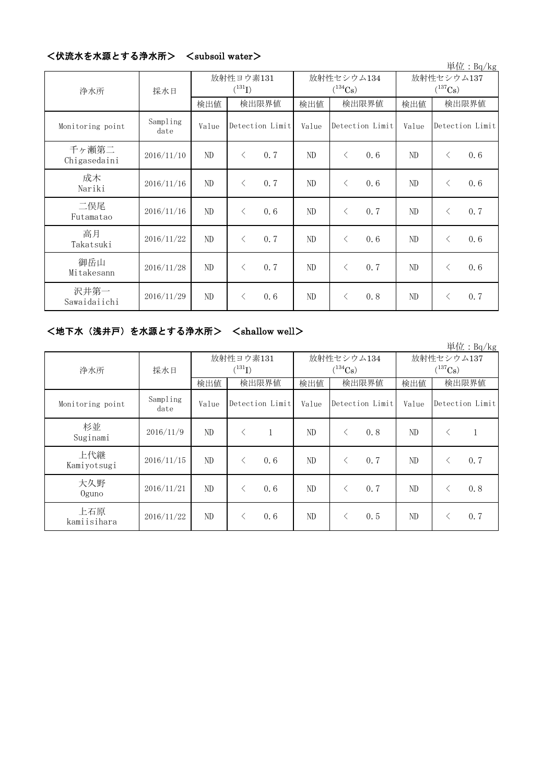|                       |                  |                          |                 |     |       |                            |     |                            |                 | 単位: $Bq/kg$ |
|-----------------------|------------------|--------------------------|-----------------|-----|-------|----------------------------|-----|----------------------------|-----------------|-------------|
| 浄水所                   | 採水日              | 放射性ヨウ素131<br>$(^{131}I)$ |                 |     |       | 放射性セシウム134<br>$(^{134}Cs)$ |     | 放射性セシウム137<br>$(^{137}Cs)$ |                 |             |
|                       |                  | 検出値                      | 検出限界値           |     | 検出値   | 検出限界値                      |     | 検出値                        | 検出限界値           |             |
| Monitoring point      | Sampling<br>date | Value                    | Detection Limit |     | Value | Detection Limit            |     | Value                      | Detection Limit |             |
| 千ヶ瀬第二<br>Chigasedaini | 2016/11/10       | ND                       | $\lt$           | 0.7 | ND    | $\langle$                  | 0.6 | ND                         | $\langle$       | 0.6         |
| 成木<br>Nariki          | 2016/11/16       | ND                       | $\lt$           | 0.7 | ND    | $\langle$                  | 0.6 | ND                         | $\langle$       | 0.6         |
| 二俣尾<br>Futamatao      | 2016/11/16       | ND                       | $\lt$           | 0.6 | ND    | $\langle$                  | 0.7 | ND                         | $\langle$       | 0.7         |
| 高月<br>Takatsuki       | 2016/11/22       | ND                       | $\lt$           | 0.7 | ND    | $\langle$                  | 0.6 | ND                         | $\langle$       | 0.6         |
| 御岳山<br>Mitakesann     | 2016/11/28       | ND                       | $\lt$           | 0.7 | ND    | $\langle$                  | 0.7 | ND                         | $\langle$       | 0.6         |
| 沢井第一<br>Sawaidaiichi  | 2016/11/29       | ND                       | $\langle$       | 0.6 | ND    | $\langle$                  | 0.8 | ND                         | $\lt$           | 0.7         |

# <伏流水を水源とする浄水所> <subsoil water>

# <地下水(浅井戸)を水源とする浄水所> <shallow well>

|                    |                  |                          |       |                 |                            |       |                 |                            |           | 単位: $Bq/kg$     |
|--------------------|------------------|--------------------------|-------|-----------------|----------------------------|-------|-----------------|----------------------------|-----------|-----------------|
| 浄水所                | 採水日              | 放射性ヨウ素131<br>$(^{131}I)$ |       |                 | 放射性セシウム134<br>$(^{134}Cs)$ |       |                 | 放射性セシウム137<br>$(^{137}Cs)$ |           |                 |
|                    |                  | 検出値                      | 検出限界値 |                 | 検出値                        | 検出限界値 |                 | 検出値                        | 検出限界値     |                 |
| Monitoring point   | Sampling<br>date | Value                    |       | Detection Limit | Value                      |       | Detection Limit | Value                      |           | Detection Limit |
| 杉並<br>Suginami     | 2016/11/9        | ND                       |       | 1               | ND                         |       | 0.8             | ND                         | ⟨         |                 |
| 上代継<br>Kamiyotsugi | 2016/11/15       | ND                       | ◁     | 0.6             | ND                         |       | 0.7             | ND                         | $\langle$ | 0, 7            |
| 大久野<br>$0$ guno    | 2016/11/21       | ND                       |       | 0.6             | ND                         |       | 0.7             | ND                         | $\lt$     | 0.8             |
| 上石原<br>kamiisihara | 2016/11/22       | ND                       |       | 0.6             | ND                         |       | 0.5             | ND                         | く         | 0.7             |